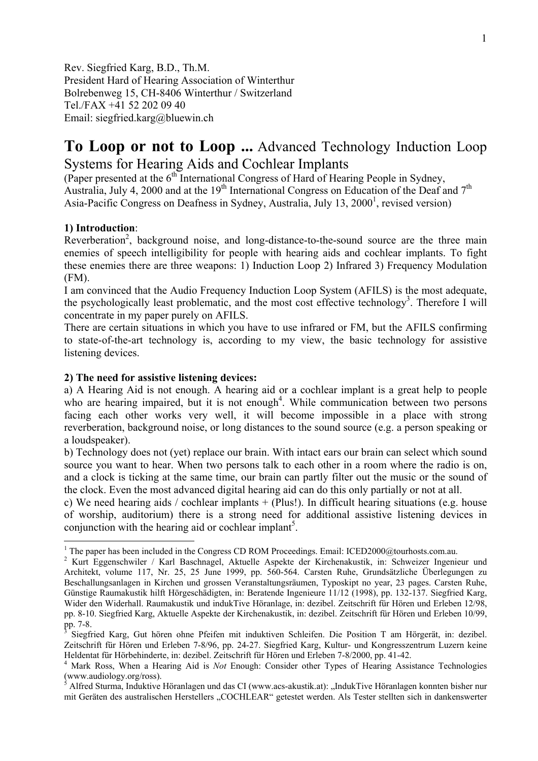Rev. Siegfried Karg, B.D., Th.M. President Hard of Hearing Association of Winterthur Bolrebenweg 15, CH-8406 Winterthur / Switzerland Tel./FAX +41 52 202 09 40 Email: siegfried.karg@bluewin.ch

# **To Loop or not to Loop ...** Advanced Technology Induction Loop Systems for Hearing Aids and Cochlear Implants

(Paper presented at the  $6<sup>th</sup>$  International Congress of Hard of Hearing People in Sydney, Australia, July 4, 2000 and at the 19<sup>th</sup> International Congress on Education of the Deaf and  $7<sup>th</sup>$ Asia-Pacific Congress on Deafness in Sydney, Australia, July 13, 2000<sup>1</sup>, revised version)

### **1) Introduction**:

 $\overline{a}$ 

Reverberation<sup>2</sup>, background noise, and long-distance-to-the-sound source are the three main enemies of speech intelligibility for people with hearing aids and cochlear implants. To fight these enemies there are three weapons: 1) Induction Loop 2) Infrared 3) Frequency Modulation (FM).

I am convinced that the Audio Frequency Induction Loop System (AFILS) is the most adequate, the psychologically least problematic, and the most cost effective technology<sup>3</sup>. Therefore I will concentrate in my paper purely on AFILS.

There are certain situations in which you have to use infrared or FM, but the AFILS confirming to state-of-the-art technology is, according to my view, the basic technology for assistive listening devices.

### **2) The need for assistive listening devices:**

a) A Hearing Aid is not enough. A hearing aid or a cochlear implant is a great help to people who are hearing impaired, but it is not enough<sup>4</sup>. While communication between two persons facing each other works very well, it will become impossible in a place with strong reverberation, background noise, or long distances to the sound source (e.g. a person speaking or a loudspeaker).

b) Technology does not (yet) replace our brain. With intact ears our brain can select which sound source you want to hear. When two persons talk to each other in a room where the radio is on, and a clock is ticking at the same time, our brain can partly filter out the music or the sound of the clock. Even the most advanced digital hearing aid can do this only partially or not at all.

c) We need hearing aids / cochlear implants  $+$  (Plus!). In difficult hearing situations (e.g. house of worship, auditorium) there is a strong need for additional assistive listening devices in conjunction with the hearing aid or cochlear implant<sup>5</sup>.

<sup>&</sup>lt;sup>1</sup> The paper has been included in the Congress CD ROM Proceedings. Email: ICED2000@tourhosts.com.au.  $\frac{2}{\pi}$  Kurt. Eggeneenhuiler (Kerl, Beschnagel, Altuelle, Aspekto, der Kirchanglautik, in: Schweizer Ingeni

<sup>&</sup>lt;sup>2</sup> Kurt Eggenschwiler / Karl Baschnagel, Aktuelle Aspekte der Kirchenakustik, in: Schweizer Ingenieur und Architekt, volume 117, Nr. 25, 25 June 1999, pp. 560-564. Carsten Ruhe, Grundsätzliche Überlegungen zu Beschallungsanlagen in Kirchen und grossen Veranstaltungsräumen, Typoskipt no year, 23 pages. Carsten Ruhe, Günstige Raumakustik hilft Hörgeschädigten, in: Beratende Ingenieure 11/12 (1998), pp. 132-137. Siegfried Karg, Wider den Widerhall. Raumakustik und indukTive Höranlage, in: dezibel. Zeitschrift für Hören und Erleben 12/98, pp. 8-10. Siegfried Karg, Aktuelle Aspekte der Kirchenakustik, in: dezibel. Zeitschrift für Hören und Erleben 10/99, pp. 7-8.

Siegfried Karg, Gut hören ohne Pfeifen mit induktiven Schleifen. Die Position T am Hörgerät, in: dezibel. Zeitschrift für Hören und Erleben 7-8/96, pp. 24-27. Siegfried Karg, Kultur- und Kongresszentrum Luzern keine Heldentat für Hörbehinderte, in: dezibel. Zeitschrift für Hören und Erleben 7-8/2000, pp. 41-42.

<sup>4</sup> Mark Ross, When a Hearing Aid is *Not* Enough: Consider other Types of Hearing Assistance Technologies

<sup>(</sup>www.audiology.org/ross). 5 Alfred Sturma, Induktive Höranlagen und das CI (www.acs-akustik.at): "IndukTive Höranlagen konnten bisher nur mit Geräten des australischen Herstellers "COCHLEAR" getestet werden. Als Tester stellten sich in dankenswerter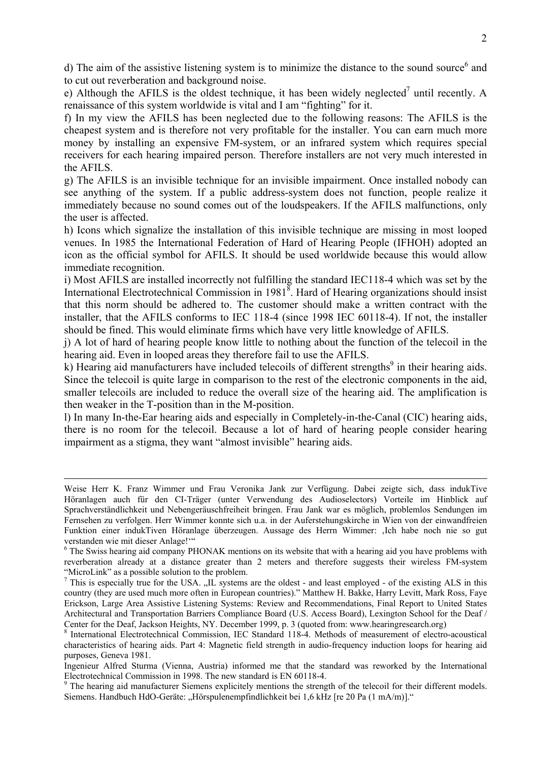d) The aim of the assistive listening system is to minimize the distance to the sound source<sup>6</sup> and to cut out reverberation and background noise.

e) Although the AFILS is the oldest technique, it has been widely neglected<sup>7</sup> until recently. A renaissance of this system worldwide is vital and I am "fighting" for it.

f) In my view the AFILS has been neglected due to the following reasons: The AFILS is the cheapest system and is therefore not very profitable for the installer. You can earn much more money by installing an expensive FM-system, or an infrared system which requires special receivers for each hearing impaired person. Therefore installers are not very much interested in the AFILS.

g) The AFILS is an invisible technique for an invisible impairment. Once installed nobody can see anything of the system. If a public address-system does not function, people realize it immediately because no sound comes out of the loudspeakers. If the AFILS malfunctions, only the user is affected.

h) Icons which signalize the installation of this invisible technique are missing in most looped venues. In 1985 the International Federation of Hard of Hearing People (IFHOH) adopted an icon as the official symbol for AFILS. It should be used worldwide because this would allow immediate recognition.

i) Most AFILS are installed incorrectly not fulfilling the standard IEC118-4 which was set by the International Electrotechnical Commission in 1981<sup>8</sup>. Hard of Hearing organizations should insist that this norm should be adhered to. The customer should make a written contract with the installer, that the AFILS conforms to IEC 118-4 (since 1998 IEC 60118-4). If not, the installer should be fined. This would eliminate firms which have very little knowledge of AFILS.

j) A lot of hard of hearing people know little to nothing about the function of the telecoil in the hearing aid. Even in looped areas they therefore fail to use the AFILS.

k) Hearing aid manufacturers have included telecoils of different strengths<sup>9</sup> in their hearing aids. Since the telecoil is quite large in comparison to the rest of the electronic components in the aid, smaller telecoils are included to reduce the overall size of the hearing aid. The amplification is then weaker in the T-position than in the M-position.

l) In many In-the-Ear hearing aids and especially in Completely-in-the-Canal (CIC) hearing aids, there is no room for the telecoil. Because a lot of hard of hearing people consider hearing impairment as a stigma, they want "almost invisible" hearing aids.

Weise Herr K. Franz Wimmer und Frau Veronika Jank zur Verfügung. Dabei zeigte sich, dass indukTive Höranlagen auch für den CI-Träger (unter Verwendung des Audioselectors) Vorteile im Hinblick auf Sprachverständlichkeit und Nebengeräuschfreiheit bringen. Frau Jank war es möglich, problemlos Sendungen im Fernsehen zu verfolgen. Herr Wimmer konnte sich u.a. in der Auferstehungskirche in Wien von der einwandfreien Funktion einer indukTiven Höranlage überzeugen. Aussage des Herrn Wimmer: 'Ich habe noch nie so gut verstanden wie mit dieser Anlage!'"

<sup>&</sup>lt;sup>6</sup> The Swiss hearing aid company PHONAK mentions on its website that with a hearing aid you have problems with reverberation already at a distance greater than 2 meters and therefore suggests their wireless FM-system "MicroLink" as a possible solution to the problem.

 $^7$  This is especially true for the USA. "IL systems are the oldest - and least employed - of the existing ALS in this country (they are used much more often in European countries)." Matthew H. Bakke, Harry Levitt, Mark Ross, Faye Erickson, Large Area Assistive Listening Systems: Review and Recommendations, Final Report to United States Architectural and Transportation Barriers Compliance Board (U.S. Access Board), Lexington School for the Deaf / Center for the Deaf, Jackson Heights, NY. December 1999, p. 3 (quoted from: www.hearingresearch.org) <sup>8</sup>

<sup>&</sup>lt;sup>8</sup> International Electrotechnical Commission, IEC Standard 118-4. Methods of measurement of electro-acoustical characteristics of hearing aids. Part 4: Magnetic field strength in audio-frequency induction loops for hearing aid purposes, Geneva 1981.

Ingenieur Alfred Sturma (Vienna, Austria) informed me that the standard was reworked by the International Electrotechnical Commission in 1998. The new standard is EN 60118-4.

<sup>&</sup>lt;sup>9</sup> The hearing aid manufacturer Siemens explicitely mentions the strength of the telecoil for their different models. Siemens. Handbuch HdO-Geräte: "Hörspulenempfindlichkeit bei 1,6 kHz [re 20 Pa (1 mA/m)]."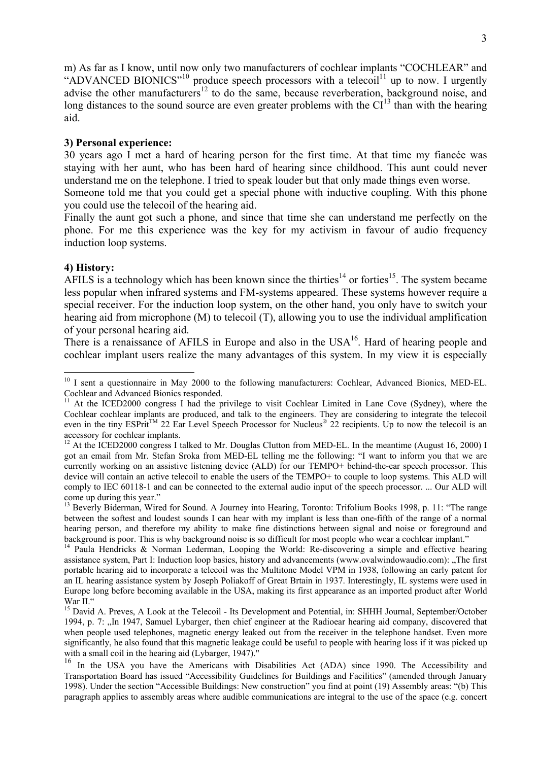m) As far as I know, until now only two manufacturers of cochlear implants "COCHLEAR" and "ADVANCED BIONICS"<sup>10</sup> produce speech processors with a telecoil<sup>11</sup> up to now. I urgently advise the other manufacturers<sup>12</sup> to do the same, because reverberation, background noise, and long distances to the sound source are even greater problems with the  $CI<sup>13</sup>$  than with the hearing aid.

### **3) Personal experience:**

30 years ago I met a hard of hearing person for the first time. At that time my fiancée was staying with her aunt, who has been hard of hearing since childhood. This aunt could never understand me on the telephone. I tried to speak louder but that only made things even worse.

Someone told me that you could get a special phone with inductive coupling. With this phone you could use the telecoil of the hearing aid.

Finally the aunt got such a phone, and since that time she can understand me perfectly on the phone. For me this experience was the key for my activism in favour of audio frequency induction loop systems.

### **4) History:**

 $\overline{a}$ 

AFILS is a technology which has been known since the thirties<sup>14</sup> or forties<sup>15</sup>. The system became less popular when infrared systems and FM-systems appeared. These systems however require a special receiver. For the induction loop system, on the other hand, you only have to switch your hearing aid from microphone (M) to telecoil (T), allowing you to use the individual amplification of your personal hearing aid.

There is a renaissance of AFILS in Europe and also in the  $USA^{16}$ . Hard of hearing people and cochlear implant users realize the many advantages of this system. In my view it is especially

<sup>&</sup>lt;sup>10</sup> I sent a questionnaire in May 2000 to the following manufacturers: Cochlear, Advanced Bionics, MED-EL. Cochlear and Advanced Bionics responded.

<sup>&</sup>lt;sup>11</sup> At the ICED2000 congress I had the privilege to visit Cochlear Limited in Lane Cove (Sydney), where the Cochlear cochlear implants are produced, and talk to the engineers. They are considering to integrate the telecoil even in the tiny ESPrit<sup>TM</sup> 22 Ear Level Speech Processor for Nucleus<sup>®</sup> 22 recipients. Up to now the telecoil is an accessory for cochlear implants.

<sup>&</sup>lt;sup>12</sup> At the ICED2000 congress I talked to Mr. Douglas Clutton from MED-EL. In the meantime (August 16, 2000) I got an email from Mr. Stefan Sroka from MED-EL telling me the following: "I want to inform you that we are currently working on an assistive listening device (ALD) for our TEMPO+ behind-the-ear speech processor. This device will contain an active telecoil to enable the users of the TEMPO+ to couple to loop systems. This ALD will comply to IEC 60118-1 and can be connected to the external audio input of the speech processor. ... Our ALD will come up during this year."

<sup>&</sup>lt;sup>13</sup> Beverly Biderman, Wired for Sound. A Journey into Hearing, Toronto: Trifolium Books 1998, p. 11: "The range between the softest and loudest sounds I can hear with my implant is less than one-fifth of the range of a normal hearing person, and therefore my ability to make fine distinctions between signal and noise or foreground and background is poor. This is why background noise is so difficult for most people who wear a cochlear implant."<br><sup>14</sup> Paula Hendricks & Norman Lederman, Looping the World: Re-discovering a simple and effective hearing

assistance system, Part I: Induction loop basics, history and advancements (www.ovalwindowaudio.com): "The first portable hearing aid to incorporate a telecoil was the Multitone Model VPM in 1938, following an early patent for an IL hearing assistance system by Joseph Poliakoff of Great Brtain in 1937. Interestingly, IL systems were used in Europe long before becoming available in the USA, making its first appearance as an imported product after World War II."

<sup>&</sup>lt;sup>15</sup> David A. Preves, A Look at the Telecoil - Its Development and Potential, in: SHHH Journal, September/October 1994, p. 7: "In 1947, Samuel Lybarger, then chief engineer at the Radioear hearing aid company, discovered that when people used telephones, magnetic energy leaked out from the receiver in the telephone handset. Even more significantly, he also found that this magnetic leakage could be useful to people with hearing loss if it was picked up with a small coil in the hearing aid (Lybarger, 1947)."

<sup>&</sup>lt;sup>16</sup> In the USA you have the Americans with Disabilities Act (ADA) since 1990. The Accessibility and Transportation Board has issued "Accessibility Guidelines for Buildings and Facilities" (amended through January 1998). Under the section "Accessible Buildings: New construction" you find at point (19) Assembly areas: "(b) This paragraph applies to assembly areas where audible communications are integral to the use of the space (e.g. concert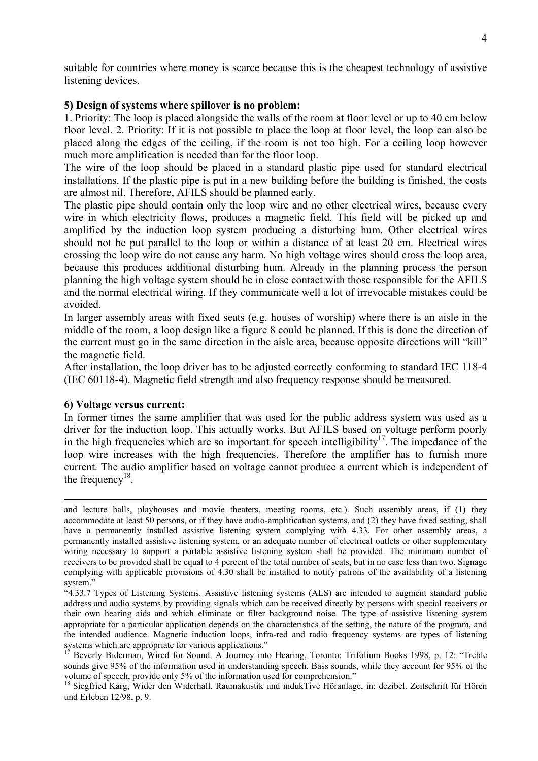suitable for countries where money is scarce because this is the cheapest technology of assistive listening devices.

### **5) Design of systems where spillover is no problem:**

1. Priority: The loop is placed alongside the walls of the room at floor level or up to 40 cm below floor level. 2. Priority: If it is not possible to place the loop at floor level, the loop can also be placed along the edges of the ceiling, if the room is not too high. For a ceiling loop however much more amplification is needed than for the floor loop.

The wire of the loop should be placed in a standard plastic pipe used for standard electrical installations. If the plastic pipe is put in a new building before the building is finished, the costs are almost nil. Therefore, AFILS should be planned early.

The plastic pipe should contain only the loop wire and no other electrical wires, because every wire in which electricity flows, produces a magnetic field. This field will be picked up and amplified by the induction loop system producing a disturbing hum. Other electrical wires should not be put parallel to the loop or within a distance of at least 20 cm. Electrical wires crossing the loop wire do not cause any harm. No high voltage wires should cross the loop area, because this produces additional disturbing hum. Already in the planning process the person planning the high voltage system should be in close contact with those responsible for the AFILS and the normal electrical wiring. If they communicate well a lot of irrevocable mistakes could be avoided.

In larger assembly areas with fixed seats (e.g. houses of worship) where there is an aisle in the middle of the room, a loop design like a figure 8 could be planned. If this is done the direction of the current must go in the same direction in the aisle area, because opposite directions will "kill" the magnetic field.

After installation, the loop driver has to be adjusted correctly conforming to standard IEC 118-4 (IEC 60118-4). Magnetic field strength and also frequency response should be measured.

#### **6) Voltage versus current:**

In former times the same amplifier that was used for the public address system was used as a driver for the induction loop. This actually works. But AFILS based on voltage perform poorly in the high frequencies which are so important for speech intelligibility<sup>17</sup>. The impedance of the loop wire increases with the high frequencies. Therefore the amplifier has to furnish more current. The audio amplifier based on voltage cannot produce a current which is independent of the frequency<sup>18</sup>.

 and lecture halls, playhouses and movie theaters, meeting rooms, etc.). Such assembly areas, if (1) they accommodate at least 50 persons, or if they have audio-amplification systems, and (2) they have fixed seating, shall have a permanently installed assistive listening system complying with 4.33. For other assembly areas, a permanently installed assistive listening system, or an adequate number of electrical outlets or other supplementary wiring necessary to support a portable assistive listening system shall be provided. The minimum number of receivers to be provided shall be equal to 4 percent of the total number of seats, but in no case less than two. Signage complying with applicable provisions of 4.30 shall be installed to notify patrons of the availability of a listening system."

"4.33.7 Types of Listening Systems. Assistive listening systems (ALS) are intended to augment standard public address and audio systems by providing signals which can be received directly by persons with special receivers or their own hearing aids and which eliminate or filter background noise. The type of assistive listening system appropriate for a particular application depends on the characteristics of the setting, the nature of the program, and the intended audience. Magnetic induction loops, infra-red and radio frequency systems are types of listening systems which are appropriate for various applications."<br><sup>17</sup> Beverly Biderman, Wired for Sound. A Journey into Hearing, Toronto: Trifolium Books 1998, p. 12: "Treble

sounds give 95% of the information used in understanding speech. Bass sounds, while they account for 95% of the volume of speech, provide only 5% of the information used for comprehension."

<sup>18</sup> Siegfried Karg, Wider den Widerhall. Raumakustik und indukTive Höranlage, in: dezibel. Zeitschrift für Hören und Erleben 12/98, p. 9.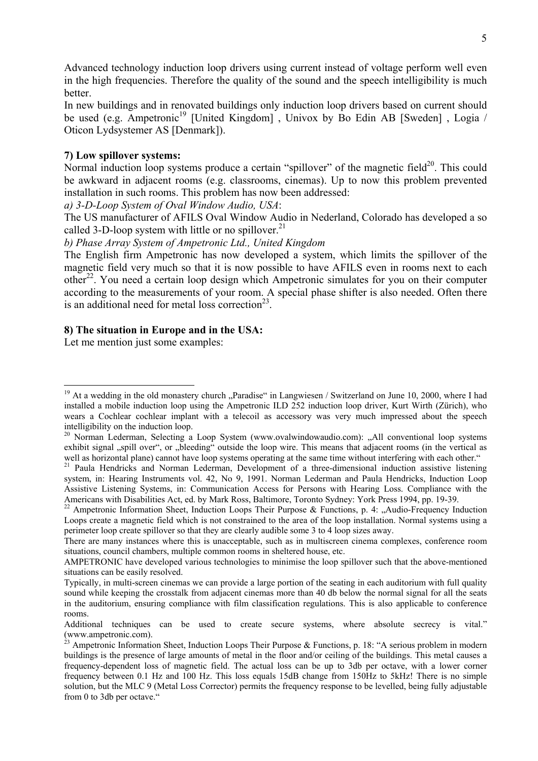Advanced technology induction loop drivers using current instead of voltage perform well even in the high frequencies. Therefore the quality of the sound and the speech intelligibility is much better.

In new buildings and in renovated buildings only induction loop drivers based on current should be used (e.g. Ampetronic<sup>19</sup> [United Kingdom], Univox by Bo Edin AB [Sweden], Logia / Oticon Lydsystemer AS [Denmark]).

### **7) Low spillover systems:**

Normal induction loop systems produce a certain "spillover" of the magnetic field<sup>20</sup>. This could be awkward in adjacent rooms (e.g. classrooms, cinemas). Up to now this problem prevented installation in such rooms. This problem has now been addressed:

*a) 3-D-Loop System of Oval Window Audio, USA*:

The US manufacturer of AFILS Oval Window Audio in Nederland, Colorado has developed a so called 3-D-loop system with little or no spillover.<sup>21</sup>

*b) Phase Array System of Ampetronic Ltd., United Kingdom*

The English firm Ampetronic has now developed a system, which limits the spillover of the magnetic field very much so that it is now possible to have AFILS even in rooms next to each other<sup>22</sup>. You need a certain loop design which Ampetronic simulates for you on their computer according to the measurements of your room. A special phase shifter is also needed. Often there is an additional need for metal loss correction<sup>23</sup>.

### **8) The situation in Europe and in the USA:**

Let me mention just some examples:

 $\overline{a}$ <sup>19</sup> At a wedding in the old monastery church "Paradise" in Langwiesen / Switzerland on June 10, 2000, where I had installed a mobile induction loop using the Ampetronic ILD 252 induction loop driver, Kurt Wirth (Zürich), who wears a Cochlear cochlear implant with a telecoil as accessory was very much impressed about the speech intelligibility on the induction loop.

<sup>&</sup>lt;sup>20</sup> Norman Lederman, Selecting a Loop System (www.ovalwindowaudio.com): "All conventional loop systems exhibit signal "spill over", or "bleeding" outside the loop wire. This means that adjacent rooms (in the vertical as well as horizontal plane) cannot have loop systems operating at the same time without interfering with ea

<sup>&</sup>lt;sup>21</sup> Paula Hendricks and Norman Lederman, Development of a three-dimensional induction assistive listening system, in: Hearing Instruments vol. 42, No 9, 1991. Norman Lederman and Paula Hendricks, Induction Loop Assistive Listening Systems, in: Communication Access for Persons with Hearing Loss. Compliance with the Americans with Disabilities Act, ed. by Mark Ross, Baltimore, Toronto Sydney: York Press 1994, pp. 19-39.

<sup>&</sup>lt;sup>22</sup> Ampetronic Information Sheet, Induction Loops Their Purpose & Functions, p. 4: "Audio-Frequency Induction Loops create a magnetic field which is not constrained to the area of the loop installation. Normal systems using a perimeter loop create spillover so that they are clearly audible some 3 to 4 loop sizes away.

There are many instances where this is unacceptable, such as in multiscreen cinema complexes, conference room situations, council chambers, multiple common rooms in sheltered house, etc.

AMPETRONIC have developed various technologies to minimise the loop spillover such that the above-mentioned situations can be easily resolved.

Typically, in multi-screen cinemas we can provide a large portion of the seating in each auditorium with full quality sound while keeping the crosstalk from adjacent cinemas more than 40 db below the normal signal for all the seats in the auditorium, ensuring compliance with film classification regulations. This is also applicable to conference rooms.

Additional techniques can be used to create secure systems, where absolute secrecy is vital." (www.ampetronic.com).

<sup>&</sup>lt;sup>23</sup> Ampetronic Information Sheet, Induction Loops Their Purpose & Functions, p. 18: "A serious problem in modern buildings is the presence of large amounts of metal in the floor and/or ceiling of the buildings. This metal causes a frequency-dependent loss of magnetic field. The actual loss can be up to 3db per octave, with a lower corner frequency between 0.1 Hz and 100 Hz. This loss equals 15dB change from 150Hz to 5kHz! There is no simple solution, but the MLC 9 (Metal Loss Corrector) permits the frequency response to be levelled, being fully adjustable from 0 to 3db per octave."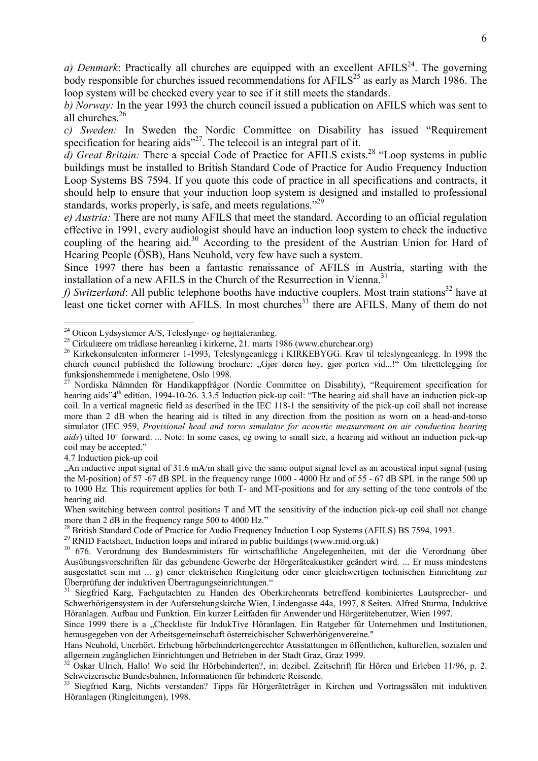*a) Denmark*: Practically all churches are equipped with an excellent AFILS<sup>24</sup>. The governing body responsible for churches issued recommendations for  $AFILS<sup>25</sup>$  as early as March 1986. The loop system will be checked every year to see if it still meets the standards.

*b) Norway:* In the year 1993 the church council issued a publication on AFILS which was sent to all churches.26

*c) Sweden:* In Sweden the Nordic Committee on Disability has issued "Requirement specification for hearing aids"<sup>27</sup>. The telecoil is an integral part of it.

d) Great Britain: There a special Code of Practice for AFILS exists.<sup>28</sup> "Loop systems in public buildings must be installed to British Standard Code of Practice for Audio Frequency Induction Loop Systems BS 7594. If you quote this code of practice in all specifications and contracts, it should help to ensure that your induction loop system is designed and installed to professional standards, works properly, is safe, and meets regulations."<sup>29</sup>

*e) Austria:* There are not many AFILS that meet the standard. According to an official regulation effective in 1991, every audiologist should have an induction loop system to check the inductive coupling of the hearing aid.30 According to the president of the Austrian Union for Hard of Hearing People (ÖSB), Hans Neuhold, very few have such a system.

Since 1997 there has been a fantastic renaissance of AFILS in Austria, starting with the installation of a new AFILS in the Church of the Resurrection in Vienna.<sup>31</sup>

 $f$ ) Switzerland: All public telephone booths have inductive couplers. Most train stations<sup>32</sup> have at least one ticket corner with  $\overrightarrow{AFILS}$ . In most churches<sup>33</sup> there are AFILS. Many of them do not

4.7 Induction pick-up coil

 $\overline{a}$ 

When switching between control positions T and MT the sensitivity of the induction pick-up coil shall not change more than 2 dB in the frequency range 500 to 4000 Hz."

<sup>24</sup> Oticon Lydsystemer A/S, Teleslynge- og højttaleranlæg.

<sup>&</sup>lt;sup>25</sup> Cirkulæere om trådløse høreanlæg i kirkerne, 21. marts 1986 (www.churchear.org)

<sup>&</sup>lt;sup>26</sup> Kirkekonsulenten informerer 1-1993, Teleslyngeanlegg i KIRKEBYGG. Krav til teleslyngeanlegg. In 1998 the church council published the following brochure: "Gjør døren høy, gjør porten vid...!" Om tilrettelegging for funksjonshemmede i menighetene, Oslo 1998.

<sup>&</sup>lt;sup>27</sup> Nordiska Nämnden för Handikappfrågor (Nordic Committee on Disability), "Requirement specification for hearing aids"4<sup>th</sup> edition, 1994-10-26. 3.3.5 Induction pick-up coil: "The hearing aid shall have an induction pick-up coil. In a vertical magnetic field as described in the IEC 118-1 the sensitivity of the pick-up coil shall not increase more than 2 dB when the hearing aid is tilted in any direction from the position as worn on a head-and-torso simulator (IEC 959, *Provisional head and torso simulator for acoustic measurement on air conduction hearing aids*) tilted 10° forward. ... Note: In some cases, eg owing to small size, a hearing aid without an induction pick-up coil may be accepted."

<sup>&</sup>quot;An inductive input signal of 31.6 mA/m shall give the same output signal level as an acoustical input signal (using the M-position) of 57 -67 dB SPL in the frequency range 1000 - 4000 Hz and of 55 - 67 dB SPL in the range 500 up to 1000 Hz. This requirement applies for both T- and MT-positions and for any setting of the tone controls of the hearing aid.

<sup>&</sup>lt;sup>28</sup> British Standard Code of Practice for Audio Frequency Induction Loop Systems (AFILS) BS 7594, 1993.<br><sup>29</sup> RNID Factsheet, Induction loops and infrared in public buildings (www.rnid.org.uk)

<sup>&</sup>lt;sup>30</sup> 676. Verordnung des Bundesministers für wirtschaftliche Angelegenheiten, mit der die Verordnung über Ausübungsvorschriften für das gebundene Gewerbe der Hörgeräteakustiker geändert wird. ... Er muss mindestens ausgestattet sein mit ... g) einer elektrischen Ringleitung oder einer gleichwertigen technischen Einrichtung zur Überprüfung der induktiven Übertragungseinrichtungen."

<sup>&</sup>lt;sup>31</sup> Siegfried Karg, Fachgutachten zu Handen des Oberkirchenrats betreffend kombiniertes Lautsprecher- und Schwerhörigensystem in der Auferstehungskirche Wien, Lindengasse 44a, 1997, 8 Seiten. Alfred Sturma, Induktive Höranlagen. Aufbau und Funktion. Ein kurzer Leitfaden für Anwender und Hörgerätebenutzer, Wien 1997.

Since 1999 there is a "Checkliste für IndukTive Höranlagen. Ein Ratgeber für Unternehmen und Institutionen, herausgegeben von der Arbeitsgemeinschaft österreichischer Schwerhörigenvereine."

Hans Neuhold, Unerhört. Erhebung hörbehindertengerechter Ausstattungen in öffentlichen, kulturellen, sozialen und allgemein zugänglichen Einrichtungen und Betrieben in der Stadt Graz, Graz 1999.

<sup>&</sup>lt;sup>32</sup> Oskar Ulrich, Hallo! Wo seid Ihr Hörbehinderten?, in: dezibel. Zeitschrift für Hören und Erleben 11/96, p. 2.<br>Schweizerische Bundesbahnen, Informationen für behinderte Reisende.

<sup>&</sup>lt;sup>33</sup> Siegfried Karg, Nichts verstanden? Tipps für Hörgeräteträger in Kirchen und Vortragssälen mit induktiven Höranlagen (Ringleitungen), 1998.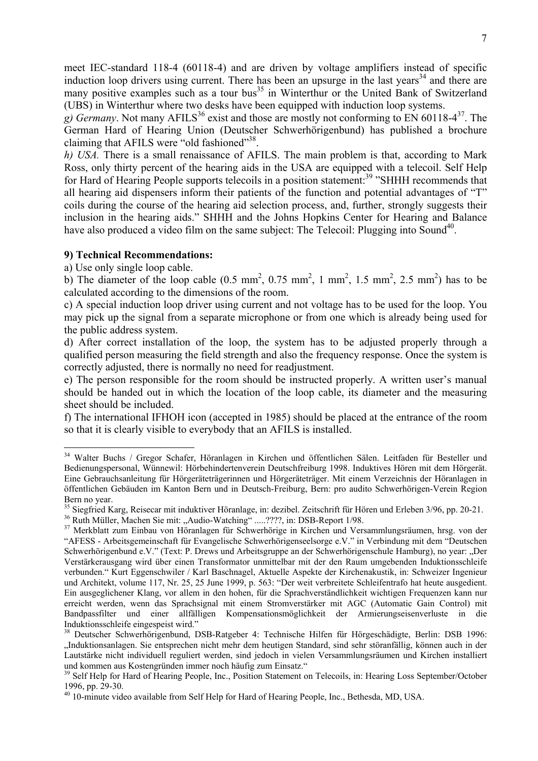meet IEC-standard 118-4 (60118-4) and are driven by voltage amplifiers instead of specific induction loop drivers using current. There has been an upsurge in the last years<sup>34</sup> and there are many positive examples such as a tour bus<sup>35</sup> in Winterthur or the United Bank of Switzerland (UBS) in Winterthur where two desks have been equipped with induction loop systems.

*g) Germany*. Not many AFILS<sup>36</sup> exist and those are mostly not conforming to EN 60118-4<sup>37</sup>. The German Hard of Hearing Union (Deutscher Schwerhörigenbund) has published a brochure claiming that AFILS were "old fashioned"<sup>38</sup>.

*h) USA*. There is a small renaissance of AFILS. The main problem is that, according to Mark Ross, only thirty percent of the hearing aids in the USA are equipped with a telecoil. Self Help for Hard of Hearing People supports telecoils in a position statement:<sup>39</sup> "SHHH recommends that all hearing aid dispensers inform their patients of the function and potential advantages of "T" coils during the course of the hearing aid selection process, and, further, strongly suggests their inclusion in the hearing aids." SHHH and the Johns Hopkins Center for Hearing and Balance have also produced a video film on the same subject: The Telecoil: Plugging into Sound<sup>40</sup>.

### **9) Technical Recommendations:**

a) Use only single loop cable.

 $\overline{a}$ 

b) The diameter of the loop cable  $(0.5 \text{ mm}^2, 0.75 \text{ mm}^2, 1 \text{ mm}^2, 1.5 \text{ mm}^2, 2.5 \text{ mm}^2)$  has to be calculated according to the dimensions of the room.

c) A special induction loop driver using current and not voltage has to be used for the loop. You may pick up the signal from a separate microphone or from one which is already being used for the public address system.

d) After correct installation of the loop, the system has to be adjusted properly through a qualified person measuring the field strength and also the frequency response. Once the system is correctly adjusted, there is normally no need for readjustment.

e) The person responsible for the room should be instructed properly. A written user's manual should be handed out in which the location of the loop cable, its diameter and the measuring sheet should be included.

f) The international IFHOH icon (accepted in 1985) should be placed at the entrance of the room so that it is clearly visible to everybody that an AFILS is installed.

<sup>34</sup> Walter Buchs / Gregor Schafer, Höranlagen in Kirchen und öffentlichen Sälen. Leitfaden für Besteller und Bedienungspersonal, Wünnewil: Hörbehindertenverein Deutschfreiburg 1998. Induktives Hören mit dem Hörgerät. Eine Gebrauchsanleitung für Hörgeräteträgerinnen und Hörgeräteträger. Mit einem Verzeichnis der Höranlagen in öffentlichen Gebäuden im Kanton Bern und in Deutsch-Freiburg, Bern: pro audito Schwerhörigen-Verein Region Bern no year.

<sup>&</sup>lt;sup>35</sup> Siegfried Karg, Reisecar mit induktiver Höranlage, in: dezibel. Zeitschrift für Hören und Erleben 3/96, pp. 20-21.

<sup>&</sup>lt;sup>36</sup> Ruth Müller, Machen Sie mit: "Audio-Watching" ......????, in: DSB-Report 1/98.

<sup>&</sup>lt;sup>37</sup> Merkblatt zum Einbau von Höranlagen für Schwerhörige in Kirchen und Versammlungsräumen, hrsg. von der "AFESS - Arbeitsgemeinschaft für Evangelische Schwerhörigenseelsorge e.V." in Verbindung mit dem "Deutschen Schwerhörigenbund e.V." (Text: P. Drews und Arbeitsgruppe an der Schwerhörigenschule Hamburg), no year: "Der Verstärkerausgang wird über einen Transformator unmittelbar mit der den Raum umgebenden Induktionsschleife verbunden." Kurt Eggenschwiler / Karl Baschnagel, Aktuelle Aspekte der Kirchenakustik, in: Schweizer Ingenieur und Architekt, volume 117, Nr. 25, 25 June 1999, p. 563: "Der weit verbreitete Schleifentrafo hat heute ausgedient. Ein ausgeglichener Klang, vor allem in den hohen, für die Sprachverständlichkeit wichtigen Frequenzen kann nur erreicht werden, wenn das Sprachsignal mit einem Stromverstärker mit AGC (Automatic Gain Control) mit Bandpassfilter und einer allfälligen Kompensationsmöglichkeit der Armierungseisenverluste in die Induktionsschleife eingespeist wird."

<sup>38</sup> Deutscher Schwerhörigenbund, DSB-Ratgeber 4: Technische Hilfen für Hörgeschädigte, Berlin: DSB 1996: "Induktionsanlagen. Sie entsprechen nicht mehr dem heutigen Standard, sind sehr störanfällig, können auch in der Lautstärke nicht individuell reguliert werden, sind jedoch in vielen Versammlungsräumen und Kirchen installiert und kommen aus Kostengründen immer noch häufig zum Einsatz."

<sup>&</sup>lt;sup>39</sup> Self Help for Hard of Hearing People, Inc., Position Statement on Telecoils, in: Hearing Loss September/October 1996, pp. 29-30.

<sup>&</sup>lt;sup>40</sup> 10-minute video available from Self Help for Hard of Hearing People, Inc., Bethesda, MD, USA.